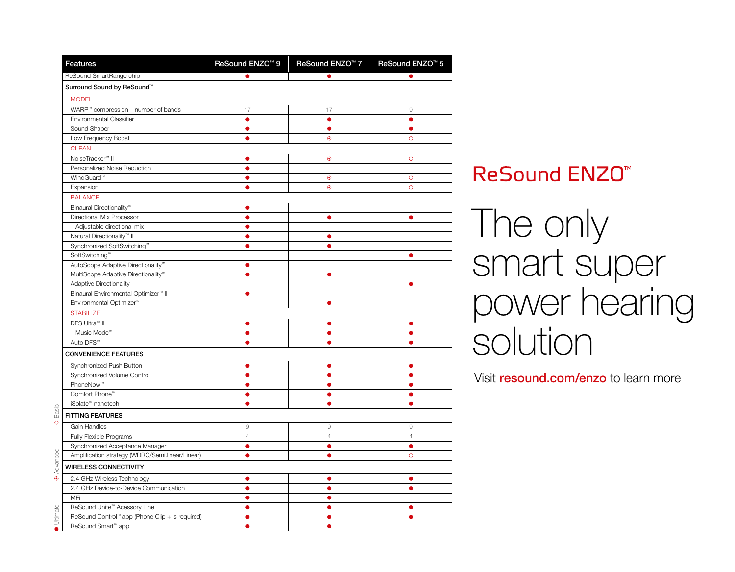| <b>Features</b>                                  | ReSound ENZO <sup>™</sup> 9 | ReSound ENZO <sup>™</sup> 7 | ReSound ENZO <sup>™</sup> 5 |
|--------------------------------------------------|-----------------------------|-----------------------------|-----------------------------|
| ReSound SmartRange chip                          | $\bullet$                   | $\bullet$                   | $\bullet$                   |
| Surround Sound by ReSound™                       |                             |                             |                             |
| <b>MODEL</b>                                     |                             |                             |                             |
| WARP™ compression - number of bands              | 17                          | 17                          | $\mathrel{\mathcal{G}}$     |
| Environmental Classifier                         | $\bullet$                   | $\bullet$                   | $\bullet$                   |
| Sound Shaper                                     | $\bullet$                   | $\bullet$                   | $\bullet$                   |
| Low Frequency Boost                              | ė                           | $\bullet$                   | $\circ$                     |
| <b>CLEAN</b>                                     |                             |                             |                             |
| NoiseTracker <sup>™</sup> II                     | $\bullet$                   | $\bullet$                   | $\circ$                     |
| Personalized Noise Reduction                     | 6                           |                             |                             |
| WindGuard <sup>™</sup>                           | Ô                           | $\bullet$                   | $\circ$                     |
| Expansion                                        | 6                           | $\bullet$                   | $\circ$                     |
| <b>BALANCE</b>                                   |                             |                             |                             |
| Binaural Directionality <sup>™</sup>             | e                           |                             |                             |
| Directional Mix Processor                        | ●                           | $\bullet$                   | ●                           |
| - Adjustable directional mix                     |                             |                             |                             |
| Natural Directionality <sup>™</sup> II           |                             | $\bullet$                   |                             |
| Synchronized SoftSwitching™                      |                             | ٠                           |                             |
| SoftSwitching™                                   |                             |                             | œ                           |
| AutoScope Adaptive Directionality™               | Ô                           |                             |                             |
| MultiScope Adaptive Directionality™              | e                           | $\bullet$                   |                             |
| Adaptive Directionality                          |                             |                             |                             |
| Binaural Environmental Optimizer™ II             | ó                           |                             |                             |
| Environmental Optimizer <sup>™</sup>             |                             | $\bullet$                   |                             |
| <b>STABILIZE</b>                                 |                             |                             |                             |
| DFS Ultra™ II                                    | ٠                           | e                           | e                           |
| - Music Mode™                                    | $\bullet$                   | é                           | $\bullet$                   |
| Auto DFS <sup>™</sup>                            | e                           |                             |                             |
| <b>CONVENIENCE FEATURES</b>                      |                             |                             |                             |
| Synchronized Push Button                         | Δ                           | O                           | Ο                           |
| Synchronized Volume Control                      | $\bullet$                   | $\bullet$                   | ●                           |
| PhoneNow™                                        | Ô                           | $\bullet$                   | $\bullet$                   |
| Comfort Phone™                                   | 0                           | ٠                           | ٠                           |
| iSolate <sup>™</sup> nanotech                    | Ô                           | ٠                           | ٠                           |
| <b>FITTING FEATURES</b>                          |                             |                             |                             |
| Gain Handles                                     | $\mathcal{G}% _{0}$         | 9                           | $\circ$                     |
| Fully Flexible Programs                          | $\sqrt{4}$                  | $\overline{4}$              | $\sqrt{4}$                  |
| Synchronized Acceptance Manager                  | Ω                           | σ                           | Ο                           |
| Amplification strategy (WDRC/Semi.linear/Linear) | ٠                           | ٠                           | $\circ$                     |
| <b>WIRELESS CONNECTIVITY</b>                     |                             |                             |                             |
| 2.4 GHz Wireless Technology                      | e                           | e                           |                             |
| 2.4 GHz Device-to-Device Communication           |                             |                             |                             |
| MFi                                              |                             |                             |                             |
| ReSound Unite™ Acessory Line                     |                             |                             |                             |
| ReSound Control™ app (Phone Clip + is required)  |                             |                             | ä                           |
| ReSound Smart™ app                               | $\bullet$                   | $\bullet$                   |                             |

## **ReSound ENZO<sup>™</sup>**

The only smart super power hearing solution

Visit resound.com/enzo to learn more